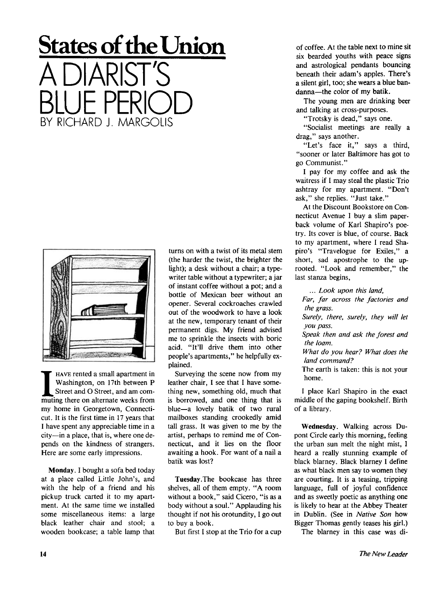## **States of the Union**  A DIARIST'S BLUE PERIOD BY RICHARD J. MARGOLIS



**II** HAVE rented a small apartment in Washington, on 17th between P Street and O Street, and am commuting there on alternate weeks from HAVE rented a small apartment in Washington, on 17th between P Street and O Street, and am commy home in Georgetown, Connecticut. It is the first time in 17 years that I have spent any appreciable time in a city—in a place, that is, where one depends on the kindness of strangers. Here are some early impressions.

Monday. I bought a sofa bed today at a place called Little John's, and with the help of a friend and his pickup truck carted it to my apartment. At the same time we installed some miscellaneous items: a large black leather chair and stool; a wooden bookcase; a table lamp that turns on with a twist of its metal stem (the harder the twist, the brighter the light); a desk without a chair; a typewriter table without a typewriter; a jar of instant coffee without a pot; and a bottle of Mexican beer without an opener. Several cockroaches crawled out of the woodwork to have a look at the new, temporary tenant of their permanent digs. My friend advised me to sprinkle the insects with boric acid. "It'll drive them into other people's apartments," he helpfully explained.

Surveying the scene now from my leather chair, I see that I have something new, something old, much that is borrowed, and one thing that is blue—a lovely batik of two rural mailboxes standing crookedly amid tall grass. It was given to me by the artist, perhaps to remind me of Connecticut, and it lies on the floor awaiting a hook. For want of a nail a batik was lost?

Tuesday.The bookcase has three shelves, all of them empty. "A room without a book," said Cicero, "is as a body without a soul." Applauding his thought if not his orotundity, I go out to buy a book.

But first I stop at the Trio for a cup

of coffee. At the table next to mine sit six bearded youths with peace signs and astrological pendants bouncing beneath their adam's apples. There's a silent girl, too; she wears a blue bandanna—the color of my batik.

The young men are drinking beer and talking at cross-purposes.

"Trotsky is dead," says one.

"Socialist meetings are really a drag," says another.

"Let's face it," says a third, "sooner or later Baltimore has got to go Communist."

I pay for my coffee and ask the waitress if I may steal the plastic Trio ashtray for my apartment. "Don't ask," she replies. "Just take."

At the Discount Bookstore on Connecticut Avenue I buy a slim paperback volume of Karl Shapiro's poetry. Its cover is blue, of course. Back to my apartment, where I read Shapiro's "Travelogue for Exiles," a short, sad apostrophe to the uprooted. "Look and remember," the last stanza begins,

*... Look upon this land,* 

*Far, far across the factories and the grass.* 

*Surely, there, surely, they will let you pass.* 

*Speak then and ask the forest and the loam.* 

*What do you hear? What does the land command?* 

The earth is taken: this is not your home.

I place Karl Shapiro in the exact middle of the gaping bookshelf. Birth of a library.

Wednesday. Walking across Dupont Circle early this morning, feeling the urban sun melt the night mist, I heard a really stunning example of black blarney. Black blarney I define as what black men say to women they are courting. It is a teasing, tripping language, full of joyful confidence and as sweetly poetic as anything one is likely to hear at the Abbey Theater in Dublin. (See in *Native Son* how Bigger Thomas gently teases his girl.)

The blarney in this case was di-